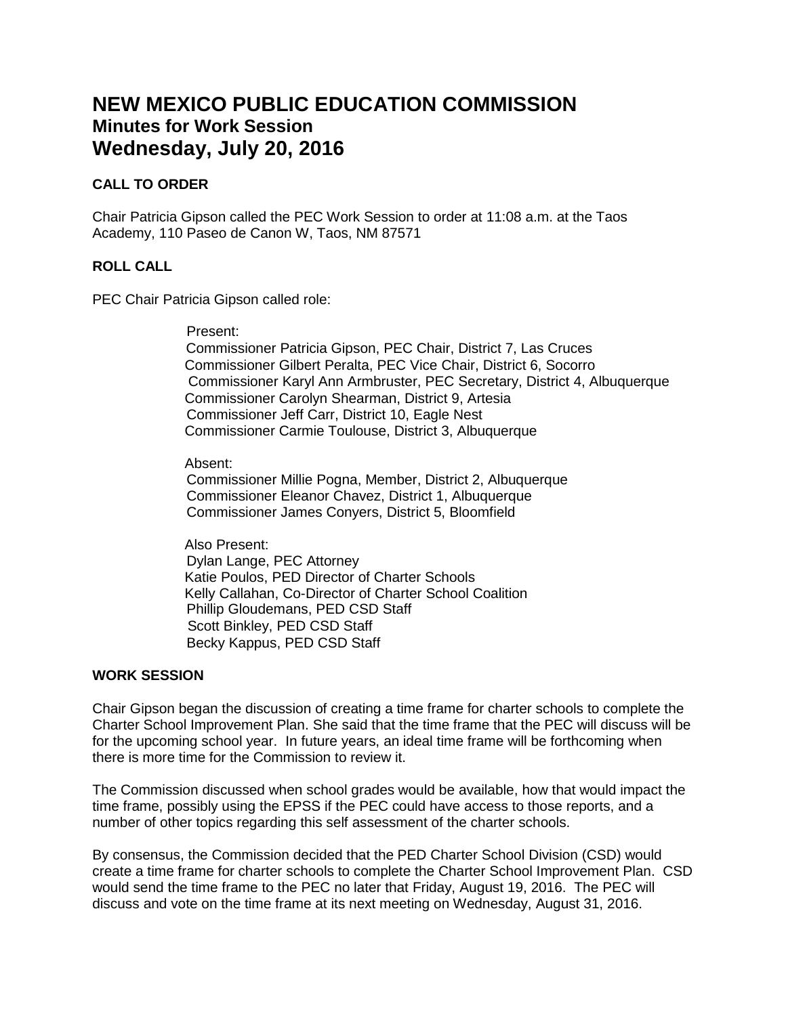# **NEW MEXICO PUBLIC EDUCATION COMMISSION Minutes for Work Session Wednesday, July 20, 2016**

### **CALL TO ORDER**

Chair Patricia Gipson called the PEC Work Session to order at 11:08 a.m. at the Taos Academy, 110 Paseo de Canon W, Taos, NM 87571

### **ROLL CALL**

PEC Chair Patricia Gipson called role:

Present:

 Commissioner Patricia Gipson, PEC Chair, District 7, Las Cruces Commissioner Gilbert Peralta, PEC Vice Chair, District 6, Socorro Commissioner Karyl Ann Armbruster, PEC Secretary, District 4, Albuquerque Commissioner Carolyn Shearman, District 9, Artesia Commissioner Jeff Carr, District 10, Eagle Nest Commissioner Carmie Toulouse, District 3, Albuquerque

Absent:

 Commissioner Millie Pogna, Member, District 2, Albuquerque Commissioner Eleanor Chavez, District 1, Albuquerque Commissioner James Conyers, District 5, Bloomfield

Also Present: Dylan Lange, PEC Attorney Katie Poulos, PED Director of Charter Schools Kelly Callahan, Co-Director of Charter School Coalition Phillip Gloudemans, PED CSD Staff Scott Binkley, PED CSD Staff Becky Kappus, PED CSD Staff

#### **WORK SESSION**

Chair Gipson began the discussion of creating a time frame for charter schools to complete the Charter School Improvement Plan. She said that the time frame that the PEC will discuss will be for the upcoming school year. In future years, an ideal time frame will be forthcoming when there is more time for the Commission to review it.

The Commission discussed when school grades would be available, how that would impact the time frame, possibly using the EPSS if the PEC could have access to those reports, and a number of other topics regarding this self assessment of the charter schools.

By consensus, the Commission decided that the PED Charter School Division (CSD) would create a time frame for charter schools to complete the Charter School Improvement Plan. CSD would send the time frame to the PEC no later that Friday, August 19, 2016. The PEC will discuss and vote on the time frame at its next meeting on Wednesday, August 31, 2016.